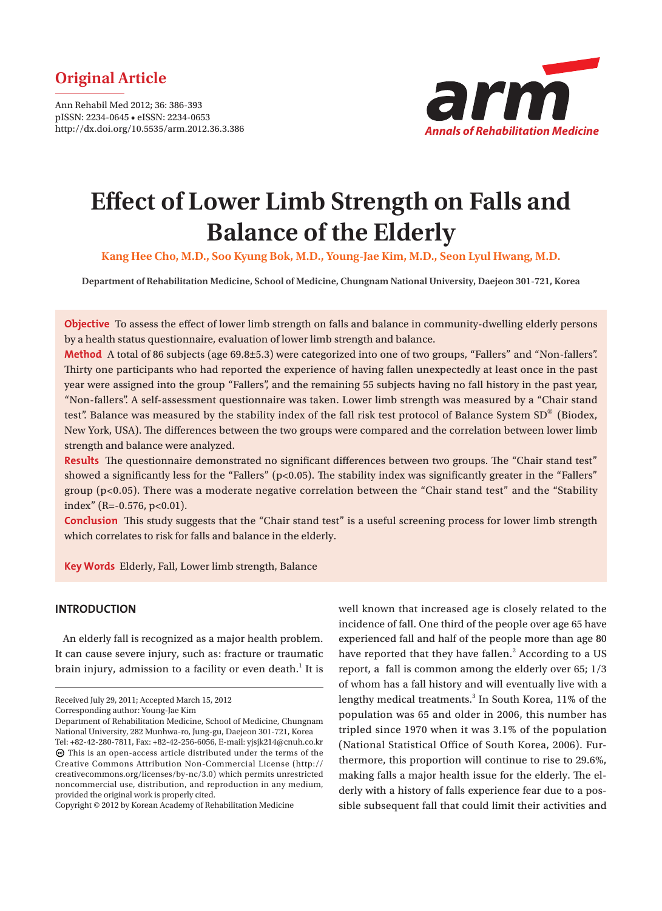# **Original Article**

Ann Rehabil Med 2012; 36: 386-393 pISSN: 2234-0645 • eISSN: 2234-0653 http://dx.doi.org/10.5535/arm.2012.36.3.386



# **Effect of Lower Limb Strength on Falls and Balance of the Elderly**

**Kang Hee Cho, M.D., Soo Kyung Bok, M.D., Young-Jae Kim, M.D., Seon Lyul Hwang, M.D.**

**Department of Rehabilitation Medicine, School of Medicine, Chungnam National University, Daejeon 301-721, Korea** 

**Objective** To assess the effect of lower limb strength on falls and balance in community-dwelling elderly persons by a health status questionnaire, evaluation of lower limb strength and balance.

**Method** A total of 86 subjects (age 69.8±5.3) were categorized into one of two groups, "Fallers" and "Non-fallers". Thirty one participants who had reported the experience of having fallen unexpectedly at least once in the past year were assigned into the group "Fallers", and the remaining 55 subjects having no fall history in the past year, "Non-fallers". A self-assessment questionnaire was taken. Lower limb strength was measured by a "Chair stand test". Balance was measured by the stability index of the fall risk test protocol of Balance System SD® (Biodex, New York, USA). The differences between the two groups were compared and the correlation between lower limb strength and balance were analyzed.

Results The questionnaire demonstrated no significant differences between two groups. The "Chair stand test" showed a significantly less for the "Fallers" ( $p<0.05$ ). The stability index was significantly greater in the "Fallers" group (p<0.05). There was a moderate negative correlation between the "Chair stand test" and the "Stability  $index''$  (R=-0.576, p<0.01).

**Conclusion** This study suggests that the "Chair stand test" is a useful screening process for lower limb strength which correlates to risk for falls and balance in the elderly.

**Key Words** Elderly, Fall, Lower limb strength, Balance

# **INTRODUCTION**

An elderly fall is recognized as a major health problem. It can cause severe injury, such as: fracture or traumatic brain injury, admission to a facility or even death. $^{\rm l}$  It is well known that increased age is closely related to the incidence of fall. One third of the people over age 65 have experienced fall and half of the people more than age 80 have reported that they have fallen. $^2$  According to a US report, a fall is common among the elderly over 65; 1/3 of whom has a fall history and will eventually live with a lengthy medical treatments.<sup>3</sup> In South Korea, 11% of the population was 65 and older in 2006, this number has tripled since 1970 when it was 3.1% of the population (National Statistical Office of South Korea, 2006). Furthermore, this proportion will continue to rise to 29.6%, making falls a major health issue for the elderly. The elderly with a history of falls experience fear due to a possible subsequent fall that could limit their activities and

Received July 29, 2011; Accepted March 15, 2012

Corresponding author: Young-Jae Kim

Department of Rehabilitation Medicine, School of Medicine, Chungnam National University, 282 Munhwa-ro, Jung-gu, Daejeon 301-721, Korea Tel: +82-42-280-7811, Fax: +82-42-256-6056, E-mail: yjsjk214@cnuh.co.kr

This is an open-access article distributed under the terms of the Creative Commons Attribution Non-Commercial License (http:// creativecommons.org/licenses/by-nc/3.0) which permits unrestricted noncommercial use, distribution, and reproduction in any medium, provided the original work is properly cited.

Copyright © 2012 by Korean Academy of Rehabilitation Medicine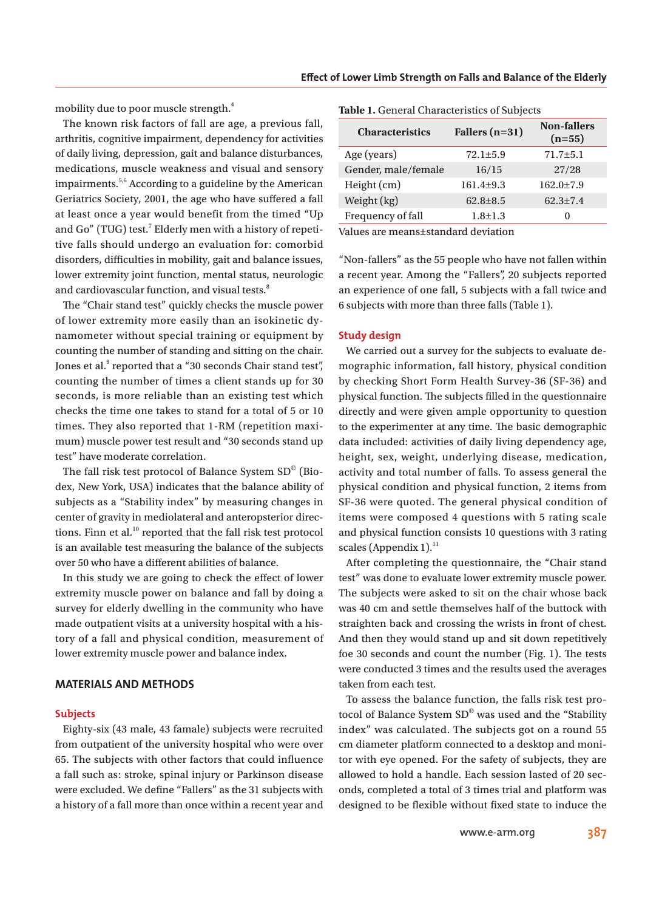mobility due to poor muscle strength.<sup>4</sup>

The known risk factors of fall are age, a previous fall, arthritis, cognitive impairment, dependency for activities of daily living, depression, gait and balance disturbances, medications, muscle weakness and visual and sensory impairments.<sup>5,6</sup> According to a guideline by the American Geriatrics Society, 2001, the age who have suffered a fall at least once a year would benefit from the timed "Up and Go" (TUG) test.<sup>7</sup> Elderly men with a history of repetitive falls should undergo an evaluation for: comorbid disorders, difficulties in mobility, gait and balance issues, lower extremity joint function, mental status, neurologic and cardiovascular function, and visual tests.<sup>8</sup>

The "Chair stand test" quickly checks the muscle power of lower extremity more easily than an isokinetic dynamometer without special training or equipment by counting the number of standing and sitting on the chair. Jones et al. $^{\circ}$  reported that a "30 seconds Chair stand test", counting the number of times a client stands up for 30 seconds, is more reliable than an existing test which checks the time one takes to stand for a total of 5 or 10 times. They also reported that 1-RM (repetition maximum) muscle power test result and "30 seconds stand up test" have moderate correlation.

The fall risk test protocol of Balance System SD® (Biodex, New York, USA) indicates that the balance ability of subjects as a "Stability index" by measuring changes in center of gravity in mediolateral and anteropsterior directions. Finn et al. $^{10}$  reported that the fall risk test protocol is an available test measuring the balance of the subjects over 50 who have a different abilities of balance.

In this study we are going to check the effect of lower extremity muscle power on balance and fall by doing a survey for elderly dwelling in the community who have made outpatient visits at a university hospital with a history of a fall and physical condition, measurement of lower extremity muscle power and balance index.

# **MATERIALS AND METHODS**

#### **Subjects**

Eighty-six (43 male, 43 famale) subjects were recruited from outpatient of the university hospital who were over 65. The subjects with other factors that could influence a fall such as: stroke, spinal injury or Parkinson disease were excluded. We define "Fallers" as the 31 subjects with a history of a fall more than once within a recent year and

| <b>Characteristics</b> | Fallers $(n=31)$ | <b>Non-fallers</b><br>$(n=55)$ |
|------------------------|------------------|--------------------------------|
| Age (years)            | $72.1 \pm 5.9$   | $71.7 \pm 5.1$                 |
| Gender, male/female    | 16/15            | 27/28                          |
| Height (cm)            | $161.4 + 9.3$    | $162.0 + 7.9$                  |
| Weight (kg)            | $62.8 \pm 8.5$   | $62.3 \pm 7.4$                 |
| Frequency of fall      | $1.8 \pm 1.3$    | $\mathbf{\Omega}$              |

Values are means±standard deviation

"Non-fallers" as the 55 people who have not fallen within a recent year. Among the "Fallers", 20 subjects reported an experience of one fall, 5 subjects with a fall twice and 6 subjects with more than three falls (Table 1).

#### **Study design**

We carried out a survey for the subjects to evaluate demographic information, fall history, physical condition by checking Short Form Health Survey-36 (SF-36) and physical function. The subjects filled in the questionnaire directly and were given ample opportunity to question to the experimenter at any time. The basic demographic data included: activities of daily living dependency age, height, sex, weight, underlying disease, medication, activity and total number of falls. To assess general the physical condition and physical function, 2 items from SF-36 were quoted. The general physical condition of items were composed 4 questions with 5 rating scale and physical function consists 10 questions with 3 rating scales (Appendix 1). $^{11}$ 

After completing the questionnaire, the "Chair stand test" was done to evaluate lower extremity muscle power. The subjects were asked to sit on the chair whose back was 40 cm and settle themselves half of the buttock with straighten back and crossing the wrists in front of chest. And then they would stand up and sit down repetitively foe 30 seconds and count the number (Fig. 1). The tests were conducted 3 times and the results used the averages taken from each test.

To assess the balance function, the falls risk test protocol of Balance System SD® was used and the "Stability index" was calculated. The subjects got on a round 55 cm diameter platform connected to a desktop and monitor with eye opened. For the safety of subjects, they are allowed to hold a handle. Each session lasted of 20 seconds, completed a total of 3 times trial and platform was designed to be flexible without fixed state to induce the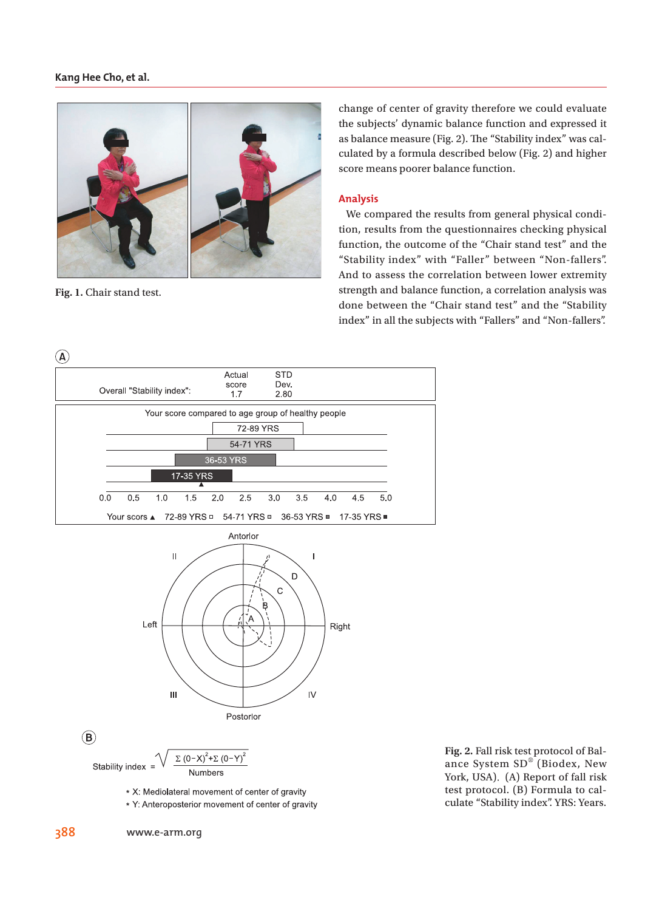

**Fig. 1.** Chair stand test.

change of center of gravity therefore we could evaluate the subjects' dynamic balance function and expressed it as balance measure (Fig. 2). The "Stability index" was calculated by a formula described below (Fig. 2) and higher score means poorer balance function.

### **Analysis**

We compared the results from general physical condition, results from the questionnaires checking physical function, the outcome of the "Chair stand test" and the "Stability index" with "Faller" between "Non-fallers". And to assess the correlation between lower extremity strength and balance function, a correlation analysis was done between the "Chair stand test" and the "Stability index" in all the subjects with "Fallers" and "Non-fallers".



\* Y: Anteroposterior movement of center of gravity

**Fig. 2.** Fall risk test protocol of Balance System SD® (Biodex, New York, USA). (A) Report of fall risk test protocol. (B) Formula to calculate "Stability index". YRS: Years.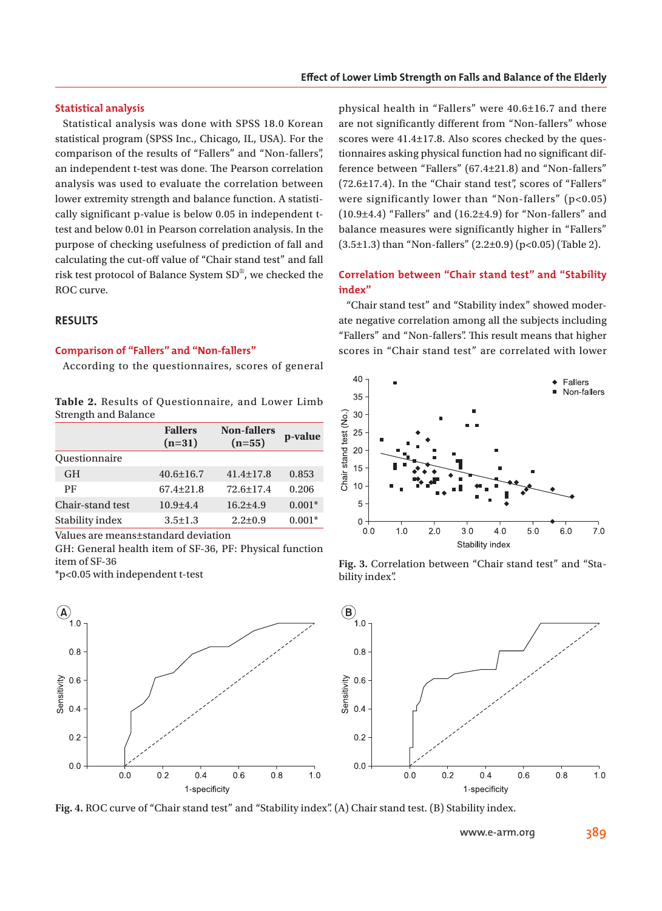### **Statistical analysis**

Statistical analysis was done with SPSS 18.0 Korean statistical program (SPSS Inc., Chicago, IL, USA). For the comparison of the results of "Fallers" and "Non-fallers", an independent t-test was done. The Pearson correlation analysis was used to evaluate the correlation between lower extremity strength and balance function. A statistically significant p-value is below 0.05 in independent ttest and below 0.01 in Pearson correlation analysis. In the purpose of checking usefulness of prediction of fall and calculating the cut-off value of "Chair stand test" and fall risk test protocol of Balance System SD®, we checked the ROC curve.

# **RESULTS**

# **Comparison of "Fallers" and "Non-fallers"**

According to the questionnaires, scores of general

**Table 2.** Results of Questionnaire, and Lower Limb Strength and Balance

|                  | <b>Fallers</b><br>$(n=31)$ | <b>Non-fallers</b><br>$(n=55)$ | p-value  |
|------------------|----------------------------|--------------------------------|----------|
| Questionnaire    |                            |                                |          |
| <b>GH</b>        | $40.6 \pm 16.7$            | $41.4 \pm 17.8$                | 0.853    |
| PF               | $67.4 + 21.8$              | $72.6 + 17.4$                  | 0.206    |
| Chair-stand test | $10.9{\pm}4.4$             | $16.2 + 4.9$                   | $0.001*$ |
| Stability index  | $3.5 \pm 1.3$              | $2.2 \pm 0.9$                  | $0.001*$ |

Values are means±standard deviation

GH: General health item of SF-36, PF: Physical function item of SF-36

\*p<0.05 with independent t-test

physical health in "Fallers" were 40.6±16.7 and there are not significantly different from "Non-fallers" whose scores were 41.4±17.8. Also scores checked by the questionnaires asking physical function had no significant difference between "Fallers" (67.4±21.8) and "Non-fallers" (72.6±17.4). In the "Chair stand test", scores of "Fallers" were significantly lower than "Non-fallers"  $(p<0.05)$  $(10.9\pm4.4)$  "Fallers" and  $(16.2\pm4.9)$  for "Non-fallers" and balance measures were significantly higher in "Fallers"  $(3.5\pm1.3)$  than "Non-fallers"  $(2.2\pm0.9)$  (p<0.05) (Table 2).

# **Correlation between "Chair stand test" and "Stability index"**

"Chair stand test" and "Stability index" showed moderate negative correlation among all the subjects including "Fallers" and "Non-fallers". This result means that higher scores in "Chair stand test" are correlated with lower



**Fig. 3.** Correlation between "Chair stand test" and "Stability index".



**Fig. 4.** ROC curve of "Chair stand test" and "Stability index". (A) Chair stand test. (B) Stability index.

**www.e-arm.org 389**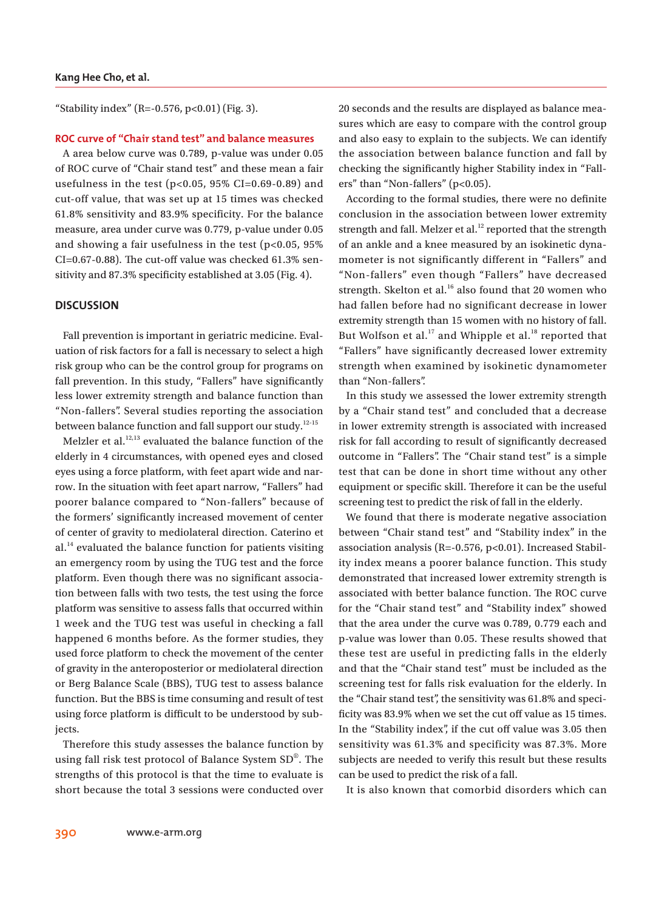"Stability index" (R=-0.576, p<0.01) (Fig. 3).

# **ROC curve of "Chair stand test" and balance measures**

A area below curve was 0.789, p-value was under 0.05 of ROC curve of "Chair stand test" and these mean a fair usefulness in the test ( $p<0.05$ ,  $95\%$  CI=0.69-0.89) and cut-off value, that was set up at 15 times was checked 61.8% sensitivity and 83.9% specificity. For the balance measure, area under curve was 0.779, p-value under 0.05 and showing a fair usefulness in the test  $(p<0.05, 95\%)$  $CI=0.67-0.88$ ). The cut-off value was checked 61.3% sensitivity and 87.3% specificity established at 3.05 (Fig. 4).

### **DISCUSSION**

Fall prevention is important in geriatric medicine. Evaluation of risk factors for a fall is necessary to select a high risk group who can be the control group for programs on fall prevention. In this study, "Fallers" have significantly less lower extremity strength and balance function than "Non-fallers". Several studies reporting the association between balance function and fall support our study.<sup>12-15</sup>

Melzler et al. $12,13$  evaluated the balance function of the elderly in 4 circumstances, with opened eyes and closed eyes using a force platform, with feet apart wide and narrow. In the situation with feet apart narrow, "Fallers" had poorer balance compared to "Non-fallers" because of the formers' significantly increased movement of center of center of gravity to mediolateral direction. Caterino et  $al.<sup>14</sup>$  evaluated the balance function for patients visiting an emergency room by using the TUG test and the force platform. Even though there was no significant association between falls with two tests, the test using the force platform was sensitive to assess falls that occurred within 1 week and the TUG test was useful in checking a fall happened 6 months before. As the former studies, they used force platform to check the movement of the center of gravity in the anteroposterior or mediolateral direction or Berg Balance Scale (BBS), TUG test to assess balance function. But the BBS is time consuming and result of test using force platform is difficult to be understood by subjects.

Therefore this study assesses the balance function by using fall risk test protocol of Balance System  $SD^{\circ}$ . The strengths of this protocol is that the time to evaluate is short because the total 3 sessions were conducted over 20 seconds and the results are displayed as balance measures which are easy to compare with the control group and also easy to explain to the subjects. We can identify the association between balance function and fall by checking the significantly higher Stability index in "Fallers" than "Non-fallers" (p<0.05).

According to the formal studies, there were no definite conclusion in the association between lower extremity strength and fall. Melzer et al.<sup>12</sup> reported that the strength of an ankle and a knee measured by an isokinetic dynamometer is not significantly different in "Fallers" and "Non-fallers" even though "Fallers" have decreased strength. Skelton et al. $^{16}$  also found that 20 women who had fallen before had no significant decrease in lower extremity strength than 15 women with no history of fall. But Wolfson et al.<sup>17</sup> and Whipple et al.<sup>18</sup> reported that "Fallers" have significantly decreased lower extremity strength when examined by isokinetic dynamometer than "Non-fallers".

In this study we assessed the lower extremity strength by a "Chair stand test" and concluded that a decrease in lower extremity strength is associated with increased risk for fall according to result of significantly decreased outcome in "Fallers". The "Chair stand test" is a simple test that can be done in short time without any other equipment or specific skill. Therefore it can be the useful screening test to predict the risk of fall in the elderly.

We found that there is moderate negative association between "Chair stand test" and "Stability index" in the association analysis (R=-0.576, p<0.01). Increased Stability index means a poorer balance function. This study demonstrated that increased lower extremity strength is associated with better balance function. The ROC curve for the "Chair stand test" and "Stability index" showed that the area under the curve was 0.789, 0.779 each and p-value was lower than 0.05. These results showed that these test are useful in predicting falls in the elderly and that the "Chair stand test" must be included as the screening test for falls risk evaluation for the elderly. In the "Chair stand test", the sensitivity was 61.8% and specificity was 83.9% when we set the cut off value as 15 times. In the "Stability index", if the cut off value was 3.05 then sensitivity was 61.3% and specificity was 87.3%. More subjects are needed to verify this result but these results can be used to predict the risk of a fall.

It is also known that comorbid disorders which can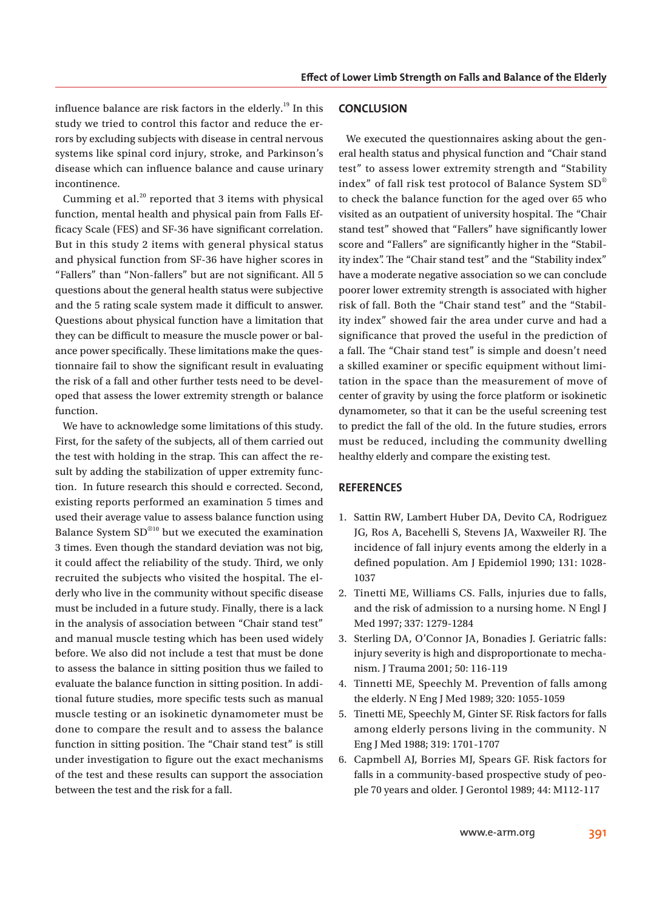influence balance are risk factors in the elderly.<sup>19</sup> In this study we tried to control this factor and reduce the errors by excluding subjects with disease in central nervous systems like spinal cord injury, stroke, and Parkinson's disease which can influence balance and cause urinary incontinence.

Cumming et al. $^{20}$  reported that 3 items with physical function, mental health and physical pain from Falls Efficacy Scale (FES) and SF-36 have significant correlation. But in this study 2 items with general physical status and physical function from SF-36 have higher scores in "Fallers" than "Non-fallers" but are not significant. All 5 questions about the general health status were subjective and the 5 rating scale system made it difficult to answer. Questions about physical function have a limitation that they can be difficult to measure the muscle power or balance power specifically. These limitations make the questionnaire fail to show the significant result in evaluating the risk of a fall and other further tests need to be developed that assess the lower extremity strength or balance function.

We have to acknowledge some limitations of this study. First, for the safety of the subjects, all of them carried out the test with holding in the strap. This can affect the result by adding the stabilization of upper extremity function. In future research this should e corrected. Second, existing reports performed an examination 5 times and used their average value to assess balance function using Balance System SD®10 but we executed the examination 3 times. Even though the standard deviation was not big, it could affect the reliability of the study. Third, we only recruited the subjects who visited the hospital. The elderly who live in the community without specific disease must be included in a future study. Finally, there is a lack in the analysis of association between "Chair stand test" and manual muscle testing which has been used widely before. We also did not include a test that must be done to assess the balance in sitting position thus we failed to evaluate the balance function in sitting position. In additional future studies, more specific tests such as manual muscle testing or an isokinetic dynamometer must be done to compare the result and to assess the balance function in sitting position. The "Chair stand test" is still under investigation to figure out the exact mechanisms of the test and these results can support the association between the test and the risk for a fall.

#### **CONCLUSION**

We executed the questionnaires asking about the general health status and physical function and "Chair stand test" to assess lower extremity strength and "Stability index" of fall risk test protocol of Balance System SD® to check the balance function for the aged over 65 who visited as an outpatient of university hospital. The "Chair stand test" showed that "Fallers" have significantly lower score and "Fallers" are significantly higher in the "Stability index". The "Chair stand test" and the "Stability index" have a moderate negative association so we can conclude poorer lower extremity strength is associated with higher risk of fall. Both the "Chair stand test" and the "Stability index" showed fair the area under curve and had a significance that proved the useful in the prediction of a fall. The "Chair stand test" is simple and doesn't need a skilled examiner or specific equipment without limitation in the space than the measurement of move of center of gravity by using the force platform or isokinetic dynamometer, so that it can be the useful screening test to predict the fall of the old. In the future studies, errors must be reduced, including the community dwelling healthy elderly and compare the existing test.

#### **REFERENCES**

- 1. Sattin RW, Lambert Huber DA, Devito CA, Rodriguez JG, Ros A, Bacehelli S, Stevens JA, Waxweiler RJ. The incidence of fall injury events among the elderly in a defined population. Am J Epidemiol 1990; 131: 1028-1037
- 2. Tinetti ME, Williams CS. Falls, injuries due to falls, and the risk of admission to a nursing home. N Engl J Med 1997; 337: 1279-1284
- 3. Sterling DA, O'Connor JA, Bonadies J. Geriatric falls: injury severity is high and disproportionate to mechanism. J Trauma 2001; 50: 116-119
- 4. Tinnetti ME, Speechly M. Prevention of falls among the elderly. N Eng J Med 1989; 320: 1055-1059
- 5. Tinetti ME, Speechly M, Ginter SF. Risk factors for falls among elderly persons living in the community. N Eng J Med 1988; 319: 1701-1707
- 6. Capmbell AJ, Borries MJ, Spears GF. Risk factors for falls in a community-based prospective study of people 70 years and older. J Gerontol 1989; 44: M112-117